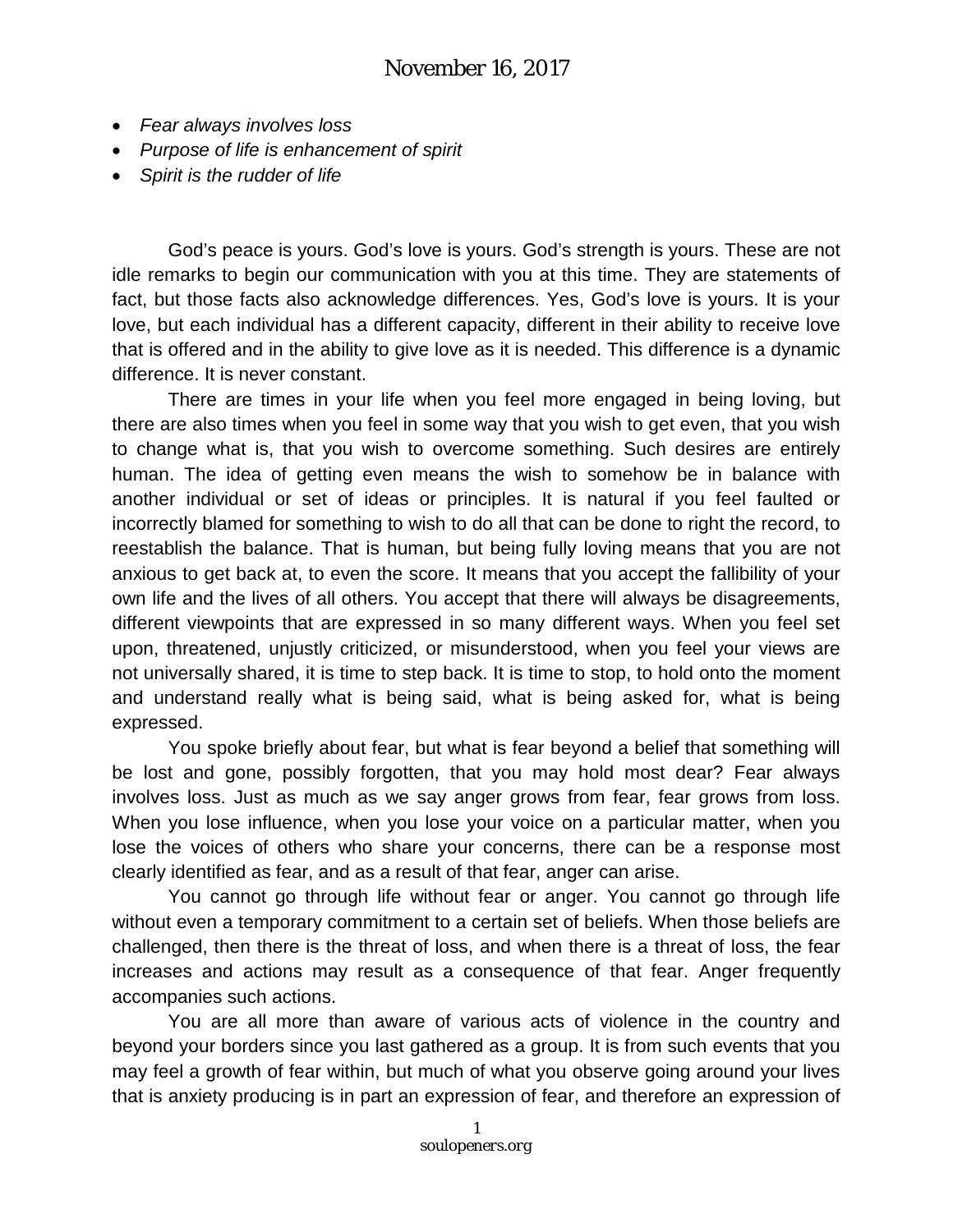- *Fear always involves loss*
- *Purpose of life is enhancement of spirit*
- *Spirit is the rudder of life*

God's peace is yours. God's love is yours. God's strength is yours. These are not idle remarks to begin our communication with you at this time. They are statements of fact, but those facts also acknowledge differences. Yes, God's love is yours. It is your love, but each individual has a different capacity, different in their ability to receive love that is offered and in the ability to give love as it is needed. This difference is a dynamic difference. It is never constant.

There are times in your life when you feel more engaged in being loving, but there are also times when you feel in some way that you wish to get even, that you wish to change what is, that you wish to overcome something. Such desires are entirely human. The idea of getting even means the wish to somehow be in balance with another individual or set of ideas or principles. It is natural if you feel faulted or incorrectly blamed for something to wish to do all that can be done to right the record, to reestablish the balance. That is human, but being fully loving means that you are not anxious to get back at, to even the score. It means that you accept the fallibility of your own life and the lives of all others. You accept that there will always be disagreements, different viewpoints that are expressed in so many different ways. When you feel set upon, threatened, unjustly criticized, or misunderstood, when you feel your views are not universally shared, it is time to step back. It is time to stop, to hold onto the moment and understand really what is being said, what is being asked for, what is being expressed.

You spoke briefly about fear, but what is fear beyond a belief that something will be lost and gone, possibly forgotten, that you may hold most dear? Fear always involves loss. Just as much as we say anger grows from fear, fear grows from loss. When you lose influence, when you lose your voice on a particular matter, when you lose the voices of others who share your concerns, there can be a response most clearly identified as fear, and as a result of that fear, anger can arise.

You cannot go through life without fear or anger. You cannot go through life without even a temporary commitment to a certain set of beliefs. When those beliefs are challenged, then there is the threat of loss, and when there is a threat of loss, the fear increases and actions may result as a consequence of that fear. Anger frequently accompanies such actions.

You are all more than aware of various acts of violence in the country and beyond your borders since you last gathered as a group. It is from such events that you may feel a growth of fear within, but much of what you observe going around your lives that is anxiety producing is in part an expression of fear, and therefore an expression of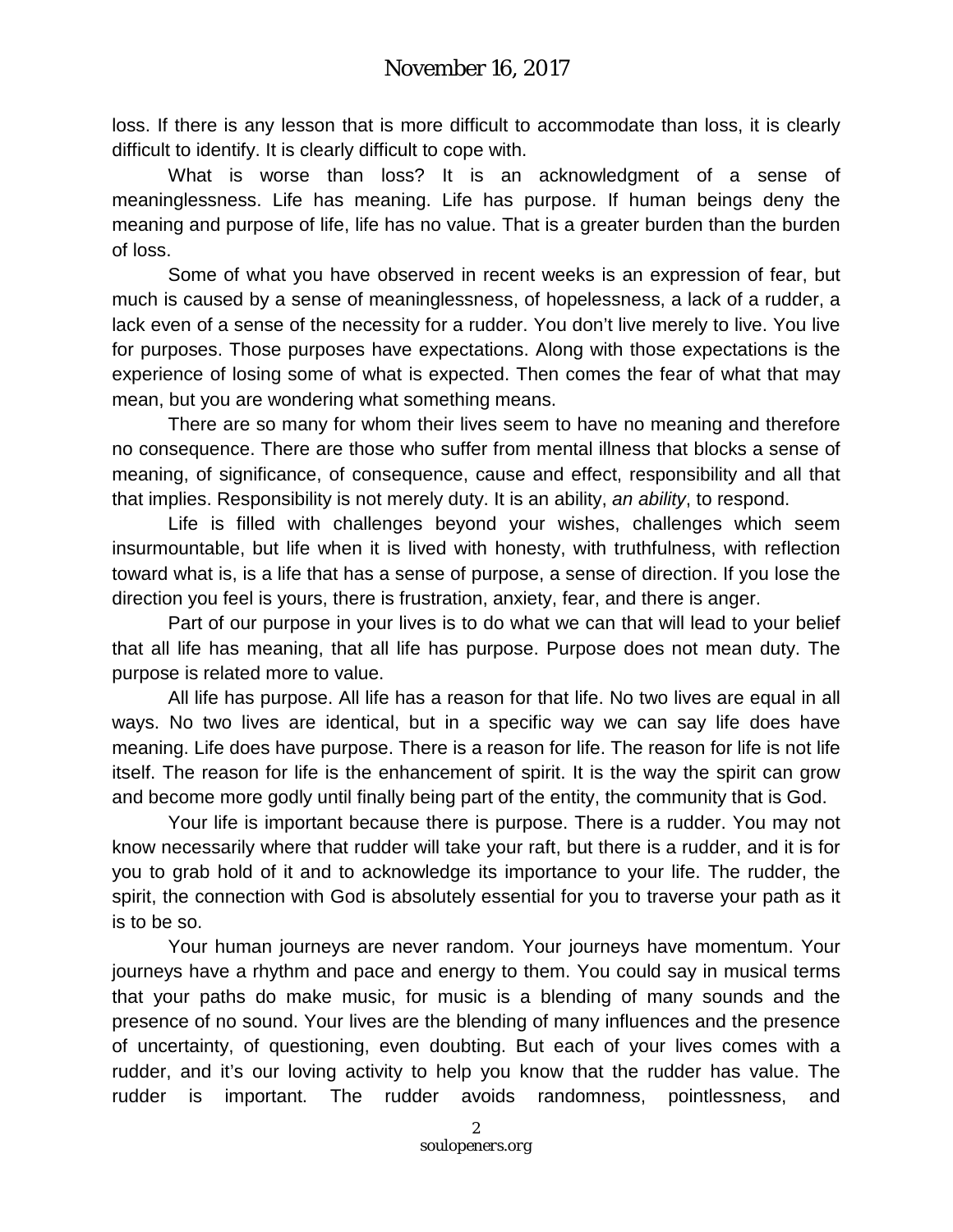loss. If there is any lesson that is more difficult to accommodate than loss, it is clearly difficult to identify. It is clearly difficult to cope with.

What is worse than loss? It is an acknowledgment of a sense of meaninglessness. Life has meaning. Life has purpose. If human beings deny the meaning and purpose of life, life has no value. That is a greater burden than the burden of loss.

Some of what you have observed in recent weeks is an expression of fear, but much is caused by a sense of meaninglessness, of hopelessness, a lack of a rudder, a lack even of a sense of the necessity for a rudder. You don't live merely to live. You live for purposes. Those purposes have expectations. Along with those expectations is the experience of losing some of what is expected. Then comes the fear of what that may mean, but you are wondering what something means.

There are so many for whom their lives seem to have no meaning and therefore no consequence. There are those who suffer from mental illness that blocks a sense of meaning, of significance, of consequence, cause and effect, responsibility and all that that implies. Responsibility is not merely duty. It is an ability, *an ability*, to respond.

Life is filled with challenges beyond your wishes, challenges which seem insurmountable, but life when it is lived with honesty, with truthfulness, with reflection toward what is, is a life that has a sense of purpose, a sense of direction. If you lose the direction you feel is yours, there is frustration, anxiety, fear, and there is anger.

Part of our purpose in your lives is to do what we can that will lead to your belief that all life has meaning, that all life has purpose. Purpose does not mean duty. The purpose is related more to value.

All life has purpose. All life has a reason for that life. No two lives are equal in all ways. No two lives are identical, but in a specific way we can say life does have meaning. Life does have purpose. There is a reason for life. The reason for life is not life itself. The reason for life is the enhancement of spirit. It is the way the spirit can grow and become more godly until finally being part of the entity, the community that is God.

Your life is important because there is purpose. There is a rudder. You may not know necessarily where that rudder will take your raft, but there is a rudder, and it is for you to grab hold of it and to acknowledge its importance to your life. The rudder, the spirit, the connection with God is absolutely essential for you to traverse your path as it is to be so.

Your human journeys are never random. Your journeys have momentum. Your journeys have a rhythm and pace and energy to them. You could say in musical terms that your paths do make music, for music is a blending of many sounds and the presence of no sound. Your lives are the blending of many influences and the presence of uncertainty, of questioning, even doubting. But each of your lives comes with a rudder, and it's our loving activity to help you know that the rudder has value. The rudder is important. The rudder avoids randomness, pointlessness, and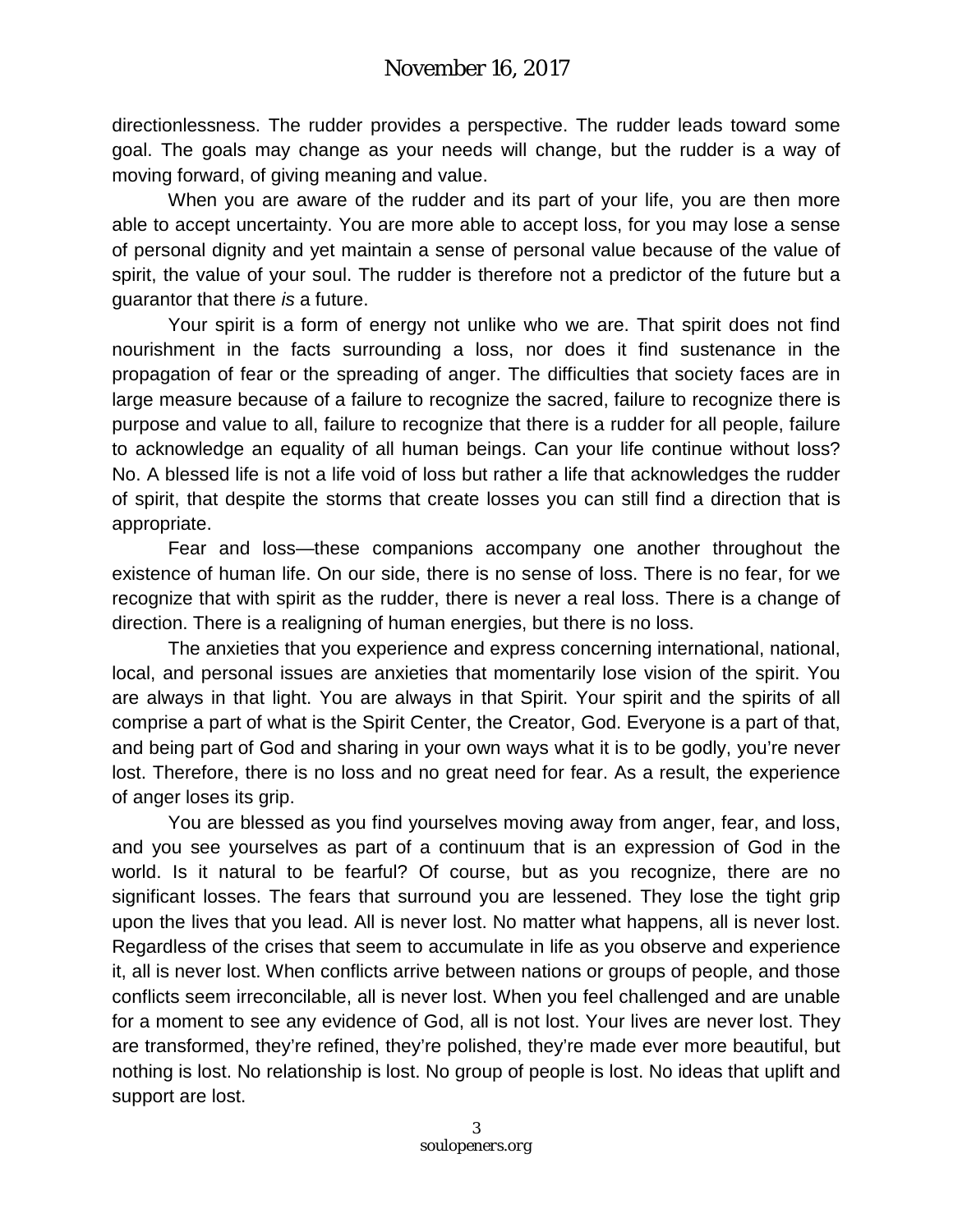directionlessness. The rudder provides a perspective. The rudder leads toward some goal. The goals may change as your needs will change, but the rudder is a way of moving forward, of giving meaning and value.

When you are aware of the rudder and its part of your life, you are then more able to accept uncertainty. You are more able to accept loss, for you may lose a sense of personal dignity and yet maintain a sense of personal value because of the value of spirit, the value of your soul. The rudder is therefore not a predictor of the future but a guarantor that there *is* a future.

Your spirit is a form of energy not unlike who we are. That spirit does not find nourishment in the facts surrounding a loss, nor does it find sustenance in the propagation of fear or the spreading of anger. The difficulties that society faces are in large measure because of a failure to recognize the sacred, failure to recognize there is purpose and value to all, failure to recognize that there is a rudder for all people, failure to acknowledge an equality of all human beings. Can your life continue without loss? No. A blessed life is not a life void of loss but rather a life that acknowledges the rudder of spirit, that despite the storms that create losses you can still find a direction that is appropriate.

Fear and loss—these companions accompany one another throughout the existence of human life. On our side, there is no sense of loss. There is no fear, for we recognize that with spirit as the rudder, there is never a real loss. There is a change of direction. There is a realigning of human energies, but there is no loss.

The anxieties that you experience and express concerning international, national, local, and personal issues are anxieties that momentarily lose vision of the spirit. You are always in that light. You are always in that Spirit. Your spirit and the spirits of all comprise a part of what is the Spirit Center, the Creator, God. Everyone is a part of that, and being part of God and sharing in your own ways what it is to be godly, you're never lost. Therefore, there is no loss and no great need for fear. As a result, the experience of anger loses its grip.

You are blessed as you find yourselves moving away from anger, fear, and loss, and you see yourselves as part of a continuum that is an expression of God in the world. Is it natural to be fearful? Of course, but as you recognize, there are no significant losses. The fears that surround you are lessened. They lose the tight grip upon the lives that you lead. All is never lost. No matter what happens, all is never lost. Regardless of the crises that seem to accumulate in life as you observe and experience it, all is never lost. When conflicts arrive between nations or groups of people, and those conflicts seem irreconcilable, all is never lost. When you feel challenged and are unable for a moment to see any evidence of God, all is not lost. Your lives are never lost. They are transformed, they're refined, they're polished, they're made ever more beautiful, but nothing is lost. No relationship is lost. No group of people is lost. No ideas that uplift and support are lost.